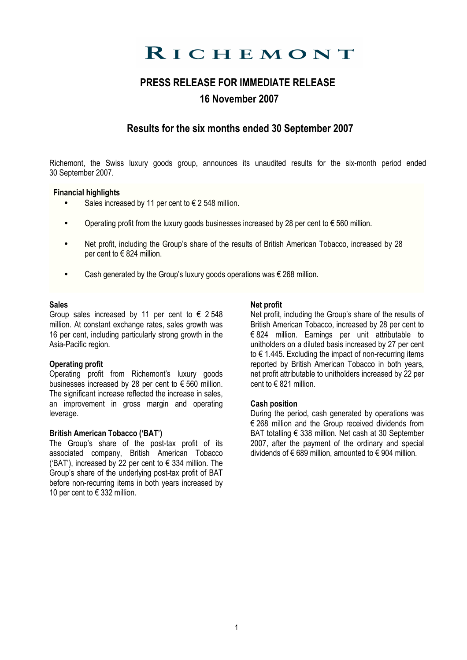# RICHEMONT

## PRESS RELEASE FOR IMMEDIATE RELEASE 16 November 2007

## Results for the six months ended 30 September 2007

Richemont, the Swiss luxury goods group, announces its unaudited results for the six-month period ended 30 September 2007.

## Financial highlights

- Sales increased by 11 per cent to  $\epsilon$  2 548 million.
- Operating profit from the luxury goods businesses increased by 28 per cent to  $\epsilon$  560 million.
- Net profit, including the Group's share of the results of British American Tobacco, increased by 28 per cent to  $\in$  824 million.
- Cash generated by the Group's luxury goods operations was  $\epsilon$  268 million.

### Sales

Group sales increased by 11 per cent to  $\epsilon$  2.548 million. At constant exchange rates, sales growth was 16 per cent, including particularly strong growth in the Asia-Pacific region.

## Operating profit

Operating profit from Richemont's luxury goods businesses increased by 28 per cent to € 560 million. The significant increase reflected the increase in sales. an improvement in gross margin and operating leverage.

## British American Tobacco ('BAT')

The Group's share of the post-tax profit of its associated company, British American Tobacco ('BAT'), increased by 22 per cent to  $\epsilon$  334 million. The Group's share of the underlying post-tax profit of BAT before non-recurring items in both years increased by 10 per cent to € 332 million.

### Net profit

Net profit, including the Group's share of the results of British American Tobacco, increased by 28 per cent to € 824 million. Earnings per unit attributable to unitholders on a diluted basis increased by 27 per cent to € 1.445. Excluding the impact of non-recurring items reported by British American Tobacco in both years, net profit attributable to unitholders increased by 22 per cent to  $\in$  821 million.

## Cash position

During the period, cash generated by operations was € 268 million and the Group received dividends from BAT totalling € 338 million. Net cash at 30 September 2007, after the payment of the ordinary and special dividends of  $\epsilon$  689 million, amounted to  $\epsilon$  904 million.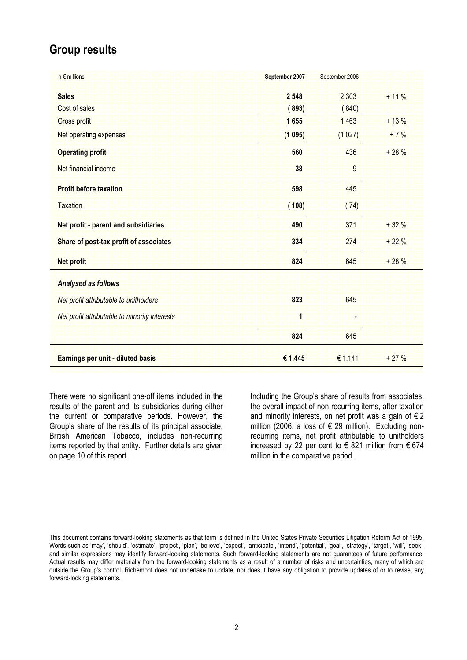## Group results

| in $\epsilon$ millions                        | September 2007 | September 2006 |        |
|-----------------------------------------------|----------------|----------------|--------|
| <b>Sales</b>                                  | 2 5 4 8        | 2 3 0 3        | $+11%$ |
| Cost of sales                                 | (893)          | (840)          |        |
| Gross profit                                  | 1655           | 1463           | $+13%$ |
| Net operating expenses                        | (1095)         | (1027)         | $+7%$  |
| <b>Operating profit</b>                       | 560            | 436            | $+28%$ |
| Net financial income                          | 38             | 9              |        |
| <b>Profit before taxation</b>                 | 598            | 445            |        |
| <b>Taxation</b>                               | (108)          | (74)           |        |
| Net profit - parent and subsidiaries          | 490            | 371            | $+32%$ |
| Share of post-tax profit of associates        | 334            | 274            | $+22%$ |
| Net profit                                    | 824            | 645            | $+28%$ |
| Analysed as follows                           |                |                |        |
| Net profit attributable to unitholders        | 823            | 645            |        |
| Net profit attributable to minority interests | 1              |                |        |
|                                               | 824            | 645            |        |
| Earnings per unit - diluted basis             | € 1.445        | € 1.141        | $+27%$ |

There were no significant one-off items included in the results of the parent and its subsidiaries during either the current or comparative periods. However, the Group's share of the results of its principal associate, British American Tobacco, includes non-recurring items reported by that entity. Further details are given on page 10 of this report.

Including the Group's share of results from associates, the overall impact of non-recurring items, after taxation and minority interests, on net profit was a gain of  $\epsilon$  2 million (2006: a loss of € 29 million). Excluding nonrecurring items, net profit attributable to unitholders increased by 22 per cent to  $\epsilon$  821 million from  $\epsilon$  674 million in the comparative period.

This document contains forward-looking statements as that term is defined in the United States Private Securities Litigation Reform Act of 1995. Words such as 'may', 'should', 'estimate', 'project', 'plan', 'believe', 'expect', 'anticipate', 'intend', 'potential', 'goal', 'strategy', 'target', 'will', 'seek', and similar expressions may identify forward-looking statements. Such forward-looking statements are not guarantees of future performance. Actual results may differ materially from the forward-looking statements as a result of a number of risks and uncertainties, many of which are outside the Group's control. Richemont does not undertake to update, nor does it have any obligation to provide updates of or to revise, any forward-looking statements.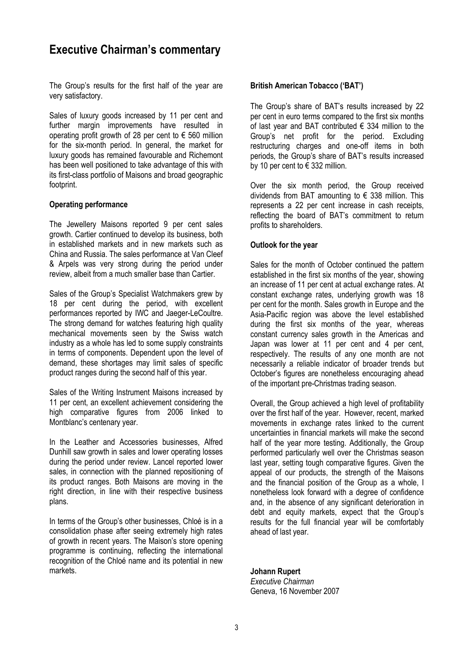## Executive Chairman's commentary

The Group's results for the first half of the year are very satisfactory.

Sales of luxury goods increased by 11 per cent and further margin improvements have resulted in operating profit growth of 28 per cent to  $\epsilon$  560 million for the six-month period. In general, the market for luxury goods has remained favourable and Richemont has been well positioned to take advantage of this with its first-class portfolio of Maisons and broad geographic footprint.

## Operating performance

The Jewellery Maisons reported 9 per cent sales growth. Cartier continued to develop its business, both in established markets and in new markets such as China and Russia. The sales performance at Van Cleef & Arpels was very strong during the period under review, albeit from a much smaller base than Cartier.

Sales of the Group's Specialist Watchmakers grew by 18 per cent during the period, with excellent performances reported by IWC and Jaeger-LeCoultre. The strong demand for watches featuring high quality mechanical movements seen by the Swiss watch industry as a whole has led to some supply constraints in terms of components. Dependent upon the level of demand, these shortages may limit sales of specific product ranges during the second half of this year.

Sales of the Writing Instrument Maisons increased by 11 per cent, an excellent achievement considering the high comparative figures from 2006 linked to Montblanc's centenary year.

In the Leather and Accessories businesses, Alfred Dunhill saw growth in sales and lower operating losses during the period under review. Lancel reported lower sales, in connection with the planned repositioning of its product ranges. Both Maisons are moving in the right direction, in line with their respective business plans.

In terms of the Group's other businesses, Chloé is in a consolidation phase after seeing extremely high rates of growth in recent years. The Maison's store opening programme is continuing, reflecting the international recognition of the Chloé name and its potential in new markets.

## British American Tobacco ('BAT')

The Group's share of BAT's results increased by 22 per cent in euro terms compared to the first six months of last year and BAT contributed  $\epsilon$  334 million to the Group's net profit for the period. Excluding restructuring charges and one-off items in both periods, the Group's share of BAT's results increased by 10 per cent to  $\epsilon$  332 million.

Over the six month period, the Group received dividends from BAT amounting to  $\epsilon$  338 million. This represents a 22 per cent increase in cash receipts, reflecting the board of BAT's commitment to return profits to shareholders.

## Outlook for the year

Sales for the month of October continued the pattern established in the first six months of the year, showing an increase of 11 per cent at actual exchange rates. At constant exchange rates, underlying growth was 18 per cent for the month. Sales growth in Europe and the Asia-Pacific region was above the level established during the first six months of the year, whereas constant currency sales growth in the Americas and Japan was lower at 11 per cent and 4 per cent, respectively. The results of any one month are not necessarily a reliable indicator of broader trends but October's figures are nonetheless encouraging ahead of the important pre-Christmas trading season.

Overall, the Group achieved a high level of profitability over the first half of the year. However, recent, marked movements in exchange rates linked to the current uncertainties in financial markets will make the second half of the year more testing. Additionally, the Group performed particularly well over the Christmas season last year, setting tough comparative figures. Given the appeal of our products, the strength of the Maisons and the financial position of the Group as a whole, I nonetheless look forward with a degree of confidence and, in the absence of any significant deterioration in debt and equity markets, expect that the Group's results for the full financial year will be comfortably ahead of last year.

## Johann Rupert

Executive Chairman Geneva, 16 November 2007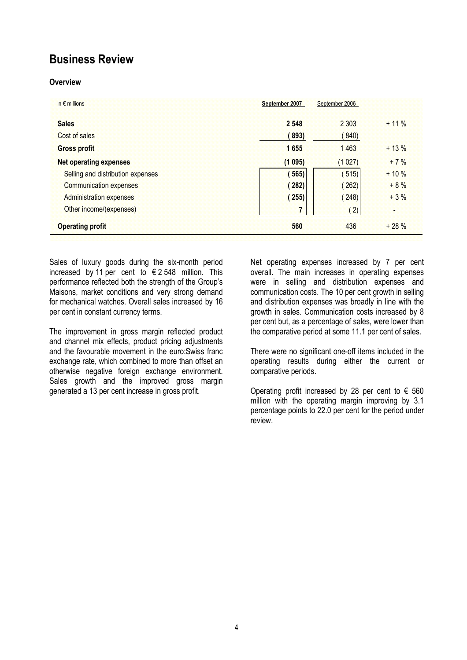## Business Review

## **Overview**

| in $\epsilon$ millions            | September 2007 | September 2006 |         |
|-----------------------------------|----------------|----------------|---------|
| <b>Sales</b>                      | 2 5 4 8        | 2 3 0 3        | $+11\%$ |
| Cost of sales                     | (893)          | (840)          |         |
| <b>Gross profit</b>               | 1655           | 1463           | $+13%$  |
| <b>Net operating expenses</b>     | (1095)         | (1027)         | $+7%$   |
| Selling and distribution expenses | (565)          | (515)          | $+10%$  |
| Communication expenses            | (282)          | (262)          | $+8%$   |
| Administration expenses           | (255)          | (248)          | $+3%$   |
| Other income/(expenses)           | 7              | 2)             |         |
| <b>Operating profit</b>           | 560            | 436            | $+28%$  |

Sales of luxury goods during the six-month period increased by 11 per cent to  $\epsilon$  2 548 million. This performance reflected both the strength of the Group's Maisons, market conditions and very strong demand for mechanical watches. Overall sales increased by 16 per cent in constant currency terms.

The improvement in gross margin reflected product and channel mix effects, product pricing adjustments and the favourable movement in the euro:Swiss franc exchange rate, which combined to more than offset an otherwise negative foreign exchange environment. Sales growth and the improved gross margin generated a 13 per cent increase in gross profit.

Net operating expenses increased by 7 per cent overall. The main increases in operating expenses were in selling and distribution expenses and communication costs. The 10 per cent growth in selling and distribution expenses was broadly in line with the growth in sales. Communication costs increased by 8 per cent but, as a percentage of sales, were lower than the comparative period at some 11.1 per cent of sales.

There were no significant one-off items included in the operating results during either the current or comparative periods.

Operating profit increased by 28 per cent to  $\epsilon$  560 million with the operating margin improving by 3.1 percentage points to 22.0 per cent for the period under review.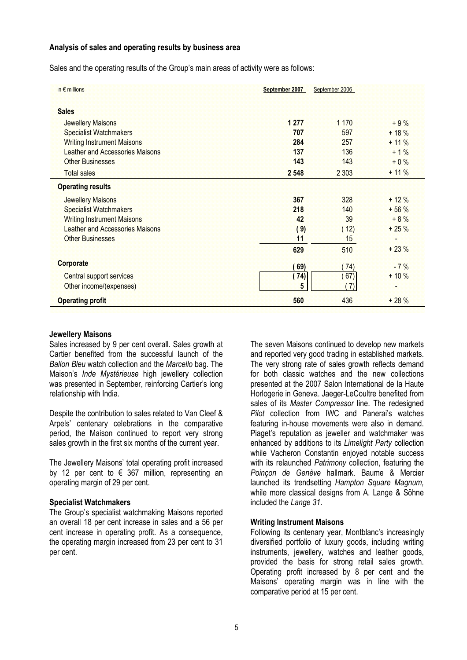### Analysis of sales and operating results by business area

Sales and the operating results of the Group's main areas of activity were as follows:

| in $\epsilon$ millions            | September 2007 | September 2006 |        |
|-----------------------------------|----------------|----------------|--------|
| <b>Sales</b>                      |                |                |        |
| Jewellery Maisons                 | 1 277          | 1 1 7 0        | $+9%$  |
| <b>Specialist Watchmakers</b>     | 707            | 597            | $+18%$ |
| <b>Writing Instrument Maisons</b> | 284            | 257            | $+11%$ |
| Leather and Accessories Maisons   | 137            | 136            | $+1%$  |
| <b>Other Businesses</b>           | 143            | 143            | $+0\%$ |
| <b>Total sales</b>                | 2 5 4 8        | 2 3 0 3        | $+11%$ |
| <b>Operating results</b>          |                |                |        |
| Jewellery Maisons                 | 367            | 328            | $+12%$ |
| <b>Specialist Watchmakers</b>     | 218            | 140            | $+56%$ |
| <b>Writing Instrument Maisons</b> | 42             | 39             | $+8%$  |
| Leather and Accessories Maisons   | (9)            | (12)           | $+25%$ |
| <b>Other Businesses</b>           | 11             | 15             |        |
|                                   | 629            | 510            | $+23%$ |
| Corporate                         | 69)            | 74)            | $-7%$  |
| Central support services          | 74)            | 67)            | $+10%$ |
| Other income/(expenses)           | 5              | 7)             |        |
| <b>Operating profit</b>           | 560            | 436            | $+28%$ |

### Jewellery Maisons

Sales increased by 9 per cent overall. Sales growth at Cartier benefited from the successful launch of the Ballon Bleu watch collection and the Marcello bag. The Maison's *Inde Mystérieuse* high jewellery collection was presented in September, reinforcing Cartier's long relationship with India.

Despite the contribution to sales related to Van Cleef & Arpels' centenary celebrations in the comparative period, the Maison continued to report very strong sales growth in the first six months of the current year.

The Jewellery Maisons' total operating profit increased by 12 per cent to  $\epsilon$  367 million, representing an operating margin of 29 per cent.

## Specialist Watchmakers

The Group's specialist watchmaking Maisons reported an overall 18 per cent increase in sales and a 56 per cent increase in operating profit. As a consequence, the operating margin increased from 23 per cent to 31 per cent.

The seven Maisons continued to develop new markets and reported very good trading in established markets. The very strong rate of sales growth reflects demand for both classic watches and the new collections presented at the 2007 Salon International de la Haute Horlogerie in Geneva. Jaeger-LeCoultre benefited from sales of its Master Compressor line. The redesigned Pilot collection from IWC and Panerai's watches featuring in-house movements were also in demand. Piaget's reputation as jeweller and watchmaker was enhanced by additions to its Limelight Party collection while Vacheron Constantin enjoyed notable success with its relaunched Patrimony collection, featuring the Poinçon de Genève hallmark. Baume & Mercier launched its trendsetting Hampton Square Magnum, while more classical designs from A. Lange & Söhne included the Lange 31.

## Writing Instrument Maisons

Following its centenary year, Montblanc's increasingly diversified portfolio of luxury goods, including writing instruments, jewellery, watches and leather goods, provided the basis for strong retail sales growth. Operating profit increased by 8 per cent and the Maisons' operating margin was in line with the comparative period at 15 per cent.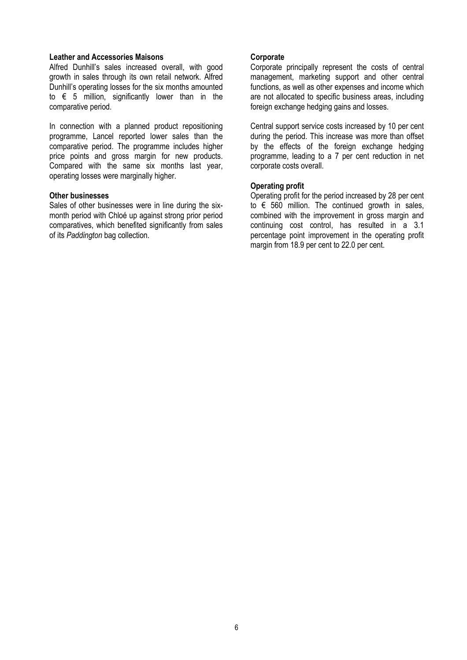### Leather and Accessories Maisons

Alfred Dunhill's sales increased overall, with good growth in sales through its own retail network. Alfred Dunhill's operating losses for the six months amounted to  $\epsilon$  5 million, significantly lower than in the comparative period.

In connection with a planned product repositioning programme, Lancel reported lower sales than the comparative period. The programme includes higher price points and gross margin for new products. Compared with the same six months last year, operating losses were marginally higher.

### Other businesses

Sales of other businesses were in line during the sixmonth period with Chloé up against strong prior period comparatives, which benefited significantly from sales of its Paddington bag collection.

### **Corporate**

Corporate principally represent the costs of central management, marketing support and other central functions, as well as other expenses and income which are not allocated to specific business areas, including foreign exchange hedging gains and losses.

Central support service costs increased by 10 per cent during the period. This increase was more than offset by the effects of the foreign exchange hedging programme, leading to a 7 per cent reduction in net corporate costs overall.

## Operating profit

Operating profit for the period increased by 28 per cent to  $\epsilon$  560 million. The continued growth in sales, combined with the improvement in gross margin and continuing cost control, has resulted in a 3.1 percentage point improvement in the operating profit margin from 18.9 per cent to 22.0 per cent.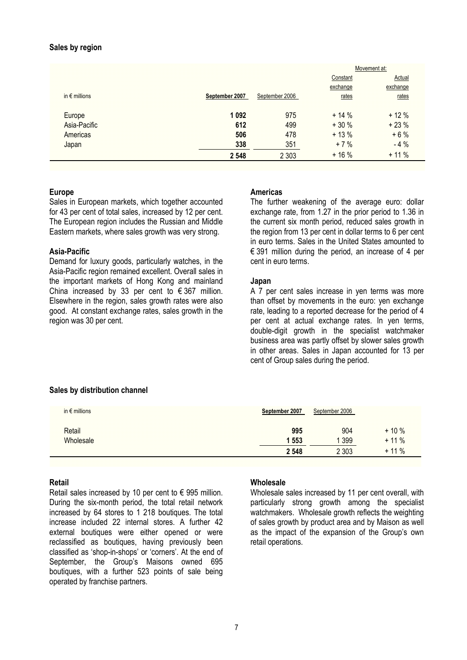### Sales by region

|                        |                |                |          | Movement at: |
|------------------------|----------------|----------------|----------|--------------|
|                        |                |                | Constant | Actual       |
|                        |                |                | exchange | exchange     |
| in $\epsilon$ millions | September 2007 | September 2006 | rates    | rates        |
| Europe                 | 1 0 9 2        | 975            | $+14%$   | $+12%$       |
| Asia-Pacific           | 612            | 499            | $+30%$   | $+23%$       |
| Americas               | 506            | 478            | $+13%$   | $+6%$        |
| Japan                  | 338            | 351            | $+7%$    | $-4%$        |
|                        | 2 5 4 8        | 2 3 0 3        | $+16%$   | $+11\%$      |

## Europe

Sales in European markets, which together accounted for 43 per cent of total sales, increased by 12 per cent. The European region includes the Russian and Middle Eastern markets, where sales growth was very strong.

### Asia-Pacific

Demand for luxury goods, particularly watches, in the Asia-Pacific region remained excellent. Overall sales in the important markets of Hong Kong and mainland China increased by 33 per cent to  $\epsilon$  367 million. Elsewhere in the region, sales growth rates were also good. At constant exchange rates, sales growth in the region was 30 per cent.

### Americas

The further weakening of the average euro: dollar exchange rate, from 1.27 in the prior period to 1.36 in the current six month period, reduced sales growth in the region from 13 per cent in dollar terms to 6 per cent in euro terms. Sales in the United States amounted to € 391 million during the period, an increase of 4 per cent in euro terms.

### Japan

A 7 per cent sales increase in yen terms was more than offset by movements in the euro: yen exchange rate, leading to a reported decrease for the period of 4 per cent at actual exchange rates. In yen terms, double-digit growth in the specialist watchmaker business area was partly offset by slower sales growth in other areas. Sales in Japan accounted for 13 per cent of Group sales during the period.

## Sales by distribution channel

| in $\epsilon$ millions | September 2007 | September 2006 |         |
|------------------------|----------------|----------------|---------|
| Retail                 | 995            | 904            | $+10%$  |
| Wholesale              | 1 553          | 1 3 9 9        | $+11%$  |
|                        | 2 5 4 8        | 2 3 0 3        | $+11\%$ |

## Retail

Retail sales increased by 10 per cent to  $\epsilon$  995 million. During the six-month period, the total retail network increased by 64 stores to 1 218 boutiques. The total increase included 22 internal stores. A further 42 external boutiques were either opened or were reclassified as boutiques, having previously been classified as 'shop-in-shops' or 'corners'. At the end of September, the Group's Maisons owned 695 boutiques, with a further 523 points of sale being operated by franchise partners.

### **Wholesale**

Wholesale sales increased by 11 per cent overall, with particularly strong growth among the specialist watchmakers. Wholesale growth reflects the weighting of sales growth by product area and by Maison as well as the impact of the expansion of the Group's own retail operations.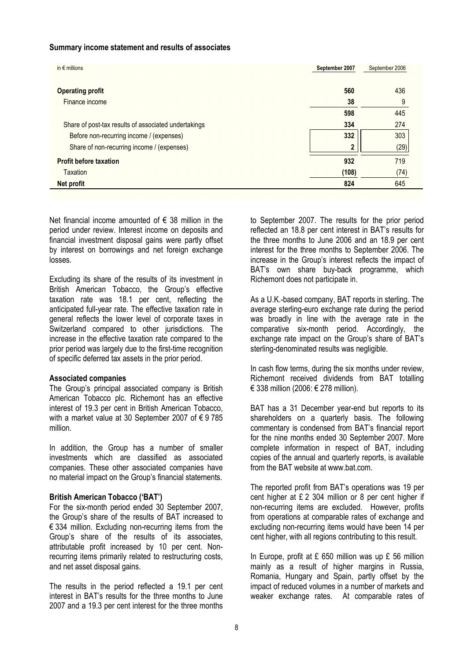### Summary income statement and results of associates

| in $\epsilon$ millions                               | September 2007          | September 2006 |
|------------------------------------------------------|-------------------------|----------------|
| <b>Operating profit</b>                              | 560                     | 436            |
| Finance income                                       | 38                      | 9              |
|                                                      | 598                     | 445            |
| Share of post-tax results of associated undertakings | 334                     | 274            |
| Before non-recurring income / (expenses)             | 332                     | 303            |
| Share of non-recurring income / (expenses)           | $\overline{\mathbf{2}}$ | (29)           |
| <b>Profit before taxation</b>                        | 932                     | 719            |
| <b>Taxation</b>                                      | (108)                   | (74)           |
| <b>Net profit</b>                                    | 824                     | 645            |

Net financial income amounted of  $\epsilon$  38 million in the period under review. Interest income on deposits and financial investment disposal gains were partly offset by interest on borrowings and net foreign exchange losses.

Excluding its share of the results of its investment in British American Tobacco, the Group's effective taxation rate was 18.1 per cent, reflecting the anticipated full-year rate. The effective taxation rate in general reflects the lower level of corporate taxes in Switzerland compared to other jurisdictions. The increase in the effective taxation rate compared to the prior period was largely due to the first-time recognition of specific deferred tax assets in the prior period.

## Associated companies

The Group's principal associated company is British American Tobacco plc. Richemont has an effective interest of 19.3 per cent in British American Tobacco, with a market value at 30 September 2007 of € 9 785 million.

In addition, the Group has a number of smaller investments which are classified as associated companies. These other associated companies have no material impact on the Group's financial statements.

## British American Tobacco ('BAT')

For the six-month period ended 30 September 2007, the Group's share of the results of BAT increased to € 334 million. Excluding non-recurring items from the Group's share of the results of its associates, attributable profit increased by 10 per cent. Nonrecurring items primarily related to restructuring costs, and net asset disposal gains.

The results in the period reflected a 19.1 per cent interest in BAT's results for the three months to June 2007 and a 19.3 per cent interest for the three months

to September 2007. The results for the prior period reflected an 18.8 per cent interest in BAT's results for the three months to June 2006 and an 18.9 per cent interest for the three months to September 2006. The increase in the Group's interest reflects the impact of BAT's own share buy-back programme, which Richemont does not participate in.

As a U.K.-based company, BAT reports in sterling. The average sterling-euro exchange rate during the period was broadly in line with the average rate in the comparative six-month period. Accordingly, the exchange rate impact on the Group's share of BAT's sterling-denominated results was negligible.

In cash flow terms, during the six months under review, Richemont received dividends from BAT totalling € 338 million (2006: € 278 million).

BAT has a 31 December year-end but reports to its shareholders on a quarterly basis. The following commentary is condensed from BAT's financial report for the nine months ended 30 September 2007. More complete information in respect of BAT, including copies of the annual and quarterly reports, is available from the BAT website at www.bat.com.

The reported profit from BAT's operations was 19 per cent higher at £ 2 304 million or 8 per cent higher if non-recurring items are excluded. However, profits from operations at comparable rates of exchange and excluding non-recurring items would have been 14 per cent higher, with all regions contributing to this result.

In Europe, profit at  $E$  650 million was up  $E$  56 million mainly as a result of higher margins in Russia, Romania, Hungary and Spain, partly offset by the impact of reduced volumes in a number of markets and weaker exchange rates. At comparable rates of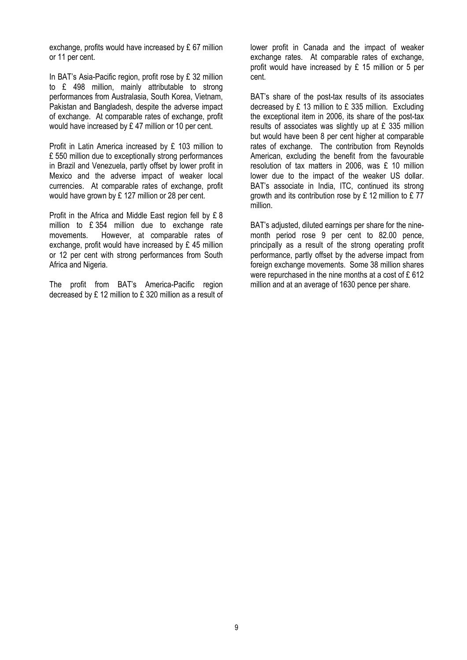exchange, profits would have increased by £ 67 million or 11 per cent.

In BAT's Asia-Pacific region, profit rose by £ 32 million to £ 498 million, mainly attributable to strong performances from Australasia, South Korea, Vietnam, Pakistan and Bangladesh, despite the adverse impact of exchange. At comparable rates of exchange, profit would have increased by £ 47 million or 10 per cent.

Profit in Latin America increased by £ 103 million to £ 550 million due to exceptionally strong performances in Brazil and Venezuela, partly offset by lower profit in Mexico and the adverse impact of weaker local currencies. At comparable rates of exchange, profit would have grown by £ 127 million or 28 per cent.

Profit in the Africa and Middle East region fell by £ 8 million to £ 354 million due to exchange rate movements. However, at comparable rates of exchange, profit would have increased by £ 45 million or 12 per cent with strong performances from South Africa and Nigeria.

The profit from BAT's America-Pacific region decreased by £ 12 million to £ 320 million as a result of lower profit in Canada and the impact of weaker exchange rates. At comparable rates of exchange, profit would have increased by £ 15 million or 5 per cent.

BAT's share of the post-tax results of its associates decreased by £ 13 million to £ 335 million. Excluding the exceptional item in 2006, its share of the post-tax results of associates was slightly up at £ 335 million but would have been 8 per cent higher at comparable rates of exchange. The contribution from Reynolds American, excluding the benefit from the favourable resolution of tax matters in 2006, was £ 10 million lower due to the impact of the weaker US dollar. BAT's associate in India, ITC, continued its strong growth and its contribution rose by £ 12 million to £ 77 million.

BAT's adjusted, diluted earnings per share for the ninemonth period rose 9 per cent to 82.00 pence, principally as a result of the strong operating profit performance, partly offset by the adverse impact from foreign exchange movements. Some 38 million shares were repurchased in the nine months at a cost of £ 612 million and at an average of 1630 pence per share.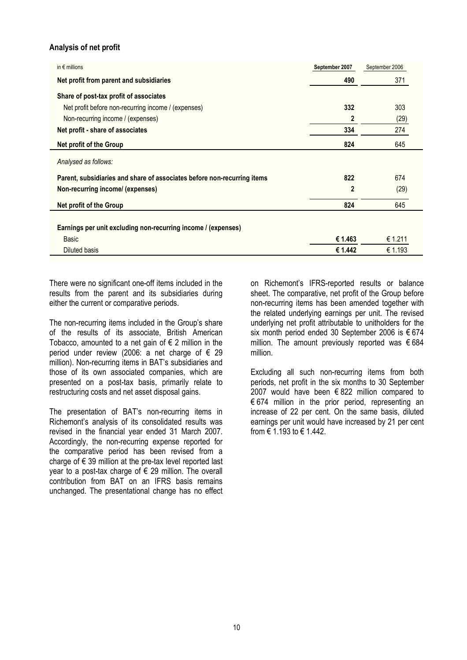## Analysis of net profit

| in $\epsilon$ millions                                                  | September 2007 | September 2006 |
|-------------------------------------------------------------------------|----------------|----------------|
| Net profit from parent and subsidiaries                                 | 490            | 371            |
| Share of post-tax profit of associates                                  |                |                |
| Net profit before non-recurring income / (expenses)                     | 332            | 303            |
| Non-recurring income / (expenses)                                       | $\overline{2}$ | (29)           |
| Net profit - share of associates                                        | 334            | 274            |
| Net profit of the Group                                                 | 824            | 645            |
| Analysed as follows:                                                    |                |                |
| Parent, subsidiaries and share of associates before non-recurring items | 822            | 674            |
| Non-recurring income/ (expenses)                                        | $\overline{2}$ | (29)           |
| Net profit of the Group                                                 | 824            | 645            |
|                                                                         |                |                |
| Earnings per unit excluding non-recurring income / (expenses)           |                |                |
| <b>Basic</b>                                                            | € 1.463        | € 1.211        |
| <b>Diluted basis</b>                                                    | € 1.442        | € 1.193        |

There were no significant one-off items included in the results from the parent and its subsidiaries during either the current or comparative periods.

The non-recurring items included in the Group's share of the results of its associate, British American Tobacco, amounted to a net gain of  $\epsilon$  2 million in the period under review (2006: a net charge of € 29 million). Non-recurring items in BAT's subsidiaries and those of its own associated companies, which are presented on a post-tax basis, primarily relate to restructuring costs and net asset disposal gains.

The presentation of BAT's non-recurring items in Richemont's analysis of its consolidated results was revised in the financial year ended 31 March 2007. Accordingly, the non-recurring expense reported for the comparative period has been revised from a charge of  $\epsilon$  39 million at the pre-tax level reported last year to a post-tax charge of € 29 million. The overall contribution from BAT on an IFRS basis remains unchanged. The presentational change has no effect

on Richemont's IFRS-reported results or balance sheet. The comparative, net profit of the Group before non-recurring items has been amended together with the related underlying earnings per unit. The revised underlying net profit attributable to unitholders for the six month period ended 30 September 2006 is € 674 million. The amount previously reported was  $\epsilon$  684 million.

Excluding all such non-recurring items from both periods, net profit in the six months to 30 September 2007 would have been  $6822$  million compared to  $674$  million in the prior period, representing an increase of 22 per cent. On the same basis, diluted earnings per unit would have increased by 21 per cent from € 1.193 to € 1.442.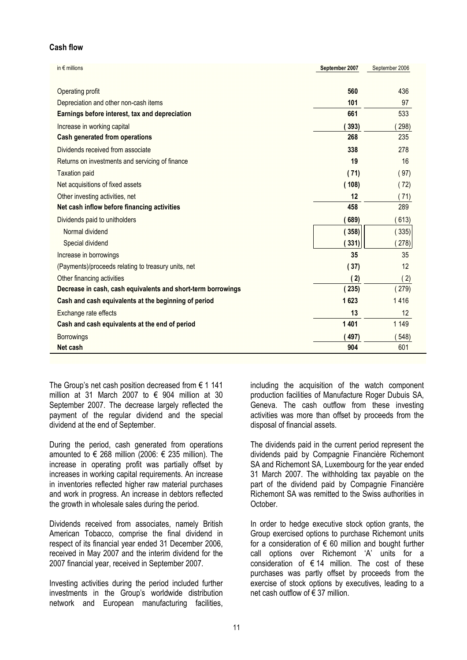## Cash flow

| in $\epsilon$ millions                                       | September 2007 | September 2006 |
|--------------------------------------------------------------|----------------|----------------|
|                                                              |                |                |
| Operating profit                                             | 560            | 436            |
| Depreciation and other non-cash items                        | 101            | 97             |
| Earnings before interest, tax and depreciation               | 661            | 533            |
| Increase in working capital                                  | 393)           | 298)           |
| <b>Cash generated from operations</b>                        | 268            | 235            |
| Dividends received from associate                            | 338            | 278            |
| Returns on investments and servicing of finance              | 19             | 16             |
| <b>Taxation paid</b>                                         | (71)           | (97)           |
| Net acquisitions of fixed assets                             | (108)          | (72)           |
| Other investing activities, net                              | 12             | (71)           |
| Net cash inflow before financing activities                  | 458            | 289            |
| Dividends paid to unitholders                                | 689)           | 613)           |
| Normal dividend                                              | 358)           | 335)           |
| Special dividend                                             | 331)           | 278)           |
| Increase in borrowings                                       | 35             | 35             |
| (Payments)/proceeds relating to treasury units, net          | (37)           | 12             |
| Other financing activities                                   | (2)            | (2)            |
| Decrease in cash, cash equivalents and short-term borrowings | (235)          | (279)          |
| Cash and cash equivalents at the beginning of period         | 1623           | 1416           |
| Exchange rate effects                                        | 13             | 12             |
| Cash and cash equivalents at the end of period               | 1401           | 1 1 4 9        |
| <b>Borrowings</b>                                            | 497)           | 548)           |
| Net cash                                                     | 904            | 601            |

The Group's net cash position decreased from  $\epsilon$  1 141 million at 31 March 2007 to  $\epsilon$  904 million at 30 September 2007. The decrease largely reflected the payment of the regular dividend and the special dividend at the end of September.

During the period, cash generated from operations amounted to € 268 million (2006: € 235 million). The increase in operating profit was partially offset by increases in working capital requirements. An increase in inventories reflected higher raw material purchases and work in progress. An increase in debtors reflected the growth in wholesale sales during the period.

Dividends received from associates, namely British American Tobacco, comprise the final dividend in respect of its financial year ended 31 December 2006, received in May 2007 and the interim dividend for the 2007 financial year, received in September 2007.

Investing activities during the period included further investments in the Group's worldwide distribution network and European manufacturing facilities,

including the acquisition of the watch component production facilities of Manufacture Roger Dubuis SA, Geneva. The cash outflow from these investing activities was more than offset by proceeds from the disposal of financial assets.

The dividends paid in the current period represent the dividends paid by Compagnie Financière Richemont SA and Richemont SA, Luxembourg for the year ended 31 March 2007. The withholding tax payable on the part of the dividend paid by Compagnie Financière Richemont SA was remitted to the Swiss authorities in October.

In order to hedge executive stock option grants, the Group exercised options to purchase Richemont units for a consideration of  $\epsilon$  60 million and bought further call options over Richemont 'A' units for a consideration of  $\epsilon$  14 million. The cost of these purchases was partly offset by proceeds from the exercise of stock options by executives, leading to a net cash outflow of € 37 million.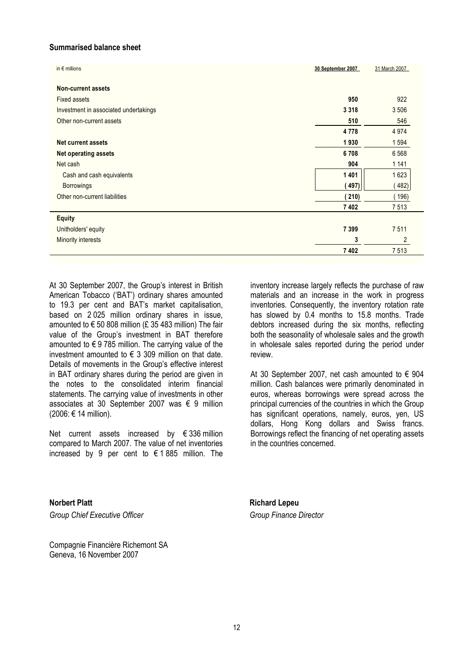## Summarised balance sheet

| in $\epsilon$ millions                | 30 September 2007 | 31 March 2007  |
|---------------------------------------|-------------------|----------------|
| <b>Non-current assets</b>             |                   |                |
| <b>Fixed assets</b>                   | 950               | 922            |
| Investment in associated undertakings | 3 3 1 8           | 3 5 0 6        |
| Other non-current assets              | 510               | 546            |
|                                       | 4778              | 4 9 7 4        |
| <b>Net current assets</b>             | 1930              | 1 5 9 4        |
| <b>Net operating assets</b>           | 6708              | 6 5 6 8        |
| Net cash                              | 904               | 1 1 4 1        |
| Cash and cash equivalents             | 1 4 0 1           | 1623           |
| <b>Borrowings</b>                     | 497)              | 482)           |
| Other non-current liabilities         | (210)             | (196)          |
|                                       | 7 4 0 2           | 7513           |
| <b>Equity</b>                         |                   |                |
| Unitholders' equity                   | 7 3 9 9           | 7511           |
| <b>Minority interests</b>             | 3                 | $\overline{2}$ |
|                                       | 7 402             | 7513           |

At 30 September 2007, the Group's interest in British American Tobacco ('BAT') ordinary shares amounted to 19.3 per cent and BAT's market capitalisation, based on 2 025 million ordinary shares in issue, amounted to  $\epsilon$  50 808 million (£ 35 483 million) The fair value of the Group's investment in BAT therefore amounted to € 9 785 million. The carrying value of the investment amounted to  $\epsilon$  3 309 million on that date. Details of movements in the Group's effective interest in BAT ordinary shares during the period are given in the notes to the consolidated interim financial statements. The carrying value of investments in other associates at 30 September 2007 was € 9 million (2006: € 14 million).

Net current assets increased by € 336 million compared to March 2007. The value of net inventories increased by 9 per cent to  $\epsilon$  1 885 million. The inventory increase largely reflects the purchase of raw materials and an increase in the work in progress inventories. Consequently, the inventory rotation rate has slowed by 0.4 months to 15.8 months. Trade debtors increased during the six months, reflecting both the seasonality of wholesale sales and the growth in wholesale sales reported during the period under review.

At 30 September 2007, net cash amounted to  $\epsilon$  904 million. Cash balances were primarily denominated in euros, whereas borrowings were spread across the principal currencies of the countries in which the Group has significant operations, namely, euros, yen, US dollars, Hong Kong dollars and Swiss francs. Borrowings reflect the financing of net operating assets in the countries concerned.

Norbert Platt **Richard Lepeu** Group Chief Executive Officer Group Finance Director

Compagnie Financière Richemont SA Geneva, 16 November 2007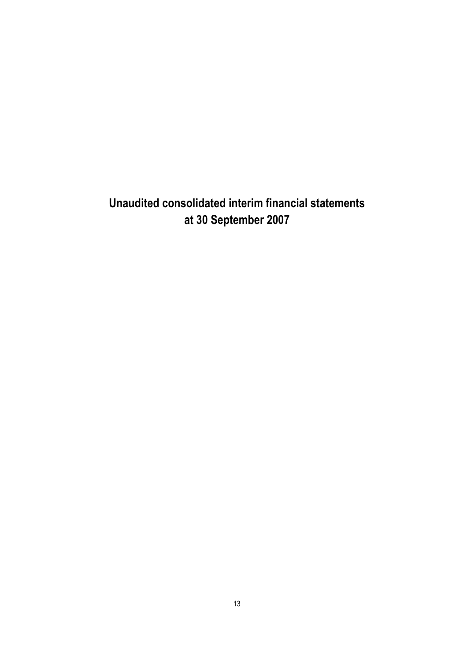Unaudited consolidated interim financial statements at 30 September 2007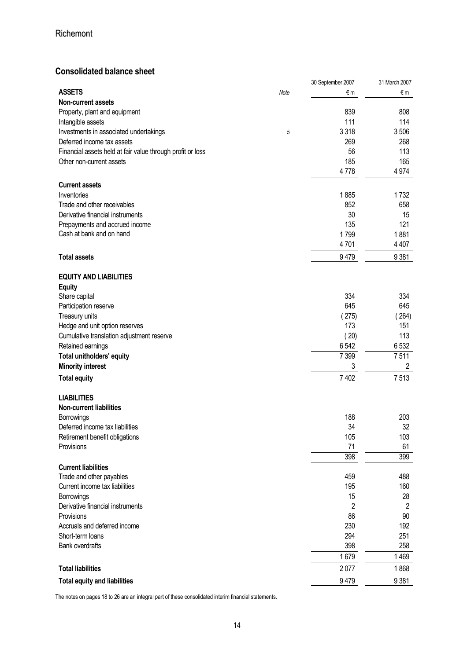## Consolidated balance sheet

|                                                            |             | 30 September 2007 | 31 March 2007  |
|------------------------------------------------------------|-------------|-------------------|----------------|
| <b>ASSETS</b>                                              | <b>Note</b> | €m                | €m             |
| <b>Non-current assets</b>                                  |             |                   |                |
| Property, plant and equipment                              |             | 839               | 808            |
| Intangible assets                                          |             | 111               | 114            |
| Investments in associated undertakings                     | 5           | 3 3 1 8           | 3506           |
| Deferred income tax assets                                 |             | 269               | 268            |
| Financial assets held at fair value through profit or loss |             | 56                | 113            |
| Other non-current assets                                   |             | 185               | 165            |
|                                                            |             | 4778              | 4 9 7 4        |
|                                                            |             |                   |                |
| <b>Current assets</b>                                      |             |                   |                |
| Inventories                                                |             | 1885              | 1732           |
| Trade and other receivables                                |             | 852               | 658            |
| Derivative financial instruments                           |             | 30                | 15             |
| Prepayments and accrued income                             |             | 135               | 121            |
| Cash at bank and on hand                                   |             | 1799              | 1881           |
|                                                            |             | 4701              | 4 4 0 7        |
|                                                            |             |                   |                |
| <b>Total assets</b>                                        |             | 9479              | 9381           |
|                                                            |             |                   |                |
| <b>EQUITY AND LIABILITIES</b>                              |             |                   |                |
| <b>Equity</b>                                              |             |                   |                |
| Share capital                                              |             | 334               | 334            |
| Participation reserve                                      |             | 645               | 645            |
| Treasury units                                             |             | (275)             | 264)           |
| Hedge and unit option reserves                             |             | 173               | 151            |
| Cumulative translation adjustment reserve                  |             | (20)              | 113            |
| Retained earnings                                          |             | 6542              | 6532           |
| <b>Total unitholders' equity</b>                           |             | 7 3 9 9           | 7511           |
|                                                            |             | 3                 | $\overline{2}$ |
| <b>Minority interest</b>                                   |             |                   |                |
| <b>Total equity</b>                                        |             | 7 4 0 2           | 7513           |
|                                                            |             |                   |                |
| <b>LIABILITIES</b>                                         |             |                   |                |
| <b>Non-current liabilities</b>                             |             |                   |                |
| Borrowings                                                 |             | 188               | 203            |
| Deferred income tax liabilities                            |             | 34                | 32             |
| Retirement benefit obligations                             |             | 105               | 103            |
| Provisions                                                 |             | 71                | 61             |
|                                                            |             | 398               | 399            |
| <b>Current liabilities</b>                                 |             |                   |                |
| Trade and other payables                                   |             | 459               | 488            |
| Current income tax liabilities                             |             | 195               | 160            |
| Borrowings                                                 |             | 15                | 28             |
| Derivative financial instruments                           |             | 2                 | $\overline{2}$ |
| Provisions                                                 |             | 86                | 90             |
| Accruals and deferred income                               |             | 230               | 192            |
| Short-term loans                                           |             | 294               | 251            |
| <b>Bank overdrafts</b>                                     |             | 398               | 258            |
|                                                            |             |                   |                |
|                                                            |             | 1679              | 1469           |
| <b>Total liabilities</b>                                   |             | 2077              | 1868           |
| <b>Total equity and liabilities</b>                        |             | 9479              | 9 3 8 1        |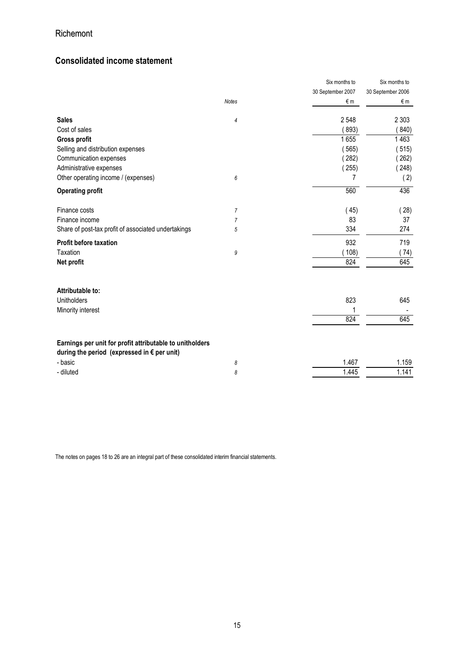## Consolidated income statement

|                                                                                                                  |                | Six months to     | Six months to     |
|------------------------------------------------------------------------------------------------------------------|----------------|-------------------|-------------------|
|                                                                                                                  |                | 30 September 2007 | 30 September 2006 |
|                                                                                                                  | <b>Notes</b>   | €m                | €m                |
| <b>Sales</b>                                                                                                     | 4              | 2 5 4 8           | 2 3 0 3           |
| Cost of sales                                                                                                    |                | 893)              | 840)              |
| <b>Gross profit</b>                                                                                              |                | 1655              | 1463              |
| Selling and distribution expenses                                                                                |                | 565)              | (515)             |
| Communication expenses                                                                                           |                | 282)              | 262)              |
| Administrative expenses                                                                                          |                | (255)             | (248)             |
| Other operating income / (expenses)                                                                              | 6              | 7                 | (2)               |
| <b>Operating profit</b>                                                                                          |                | 560               | 436               |
| Finance costs                                                                                                    | $\overline{7}$ | (45)              | (28)              |
| Finance income                                                                                                   | 7              | 83                | 37                |
| Share of post-tax profit of associated undertakings                                                              | 5              | 334               | 274               |
| <b>Profit before taxation</b>                                                                                    |                | 932               | 719               |
| Taxation                                                                                                         | 9              | 108)              | (74)              |
| Net profit                                                                                                       |                | 824               | 645               |
| Attributable to:                                                                                                 |                |                   |                   |
| Unitholders                                                                                                      |                | 823               | 645               |
| Minority interest                                                                                                |                |                   |                   |
|                                                                                                                  |                | 824               | 645               |
|                                                                                                                  |                |                   |                   |
| Earnings per unit for profit attributable to unitholders<br>during the period (expressed in $\epsilon$ per unit) |                |                   |                   |
| - basic                                                                                                          | 8              | 1.467             | 1.159             |
| - diluted                                                                                                        | 8              | 1.445             | 1.141             |
|                                                                                                                  |                |                   |                   |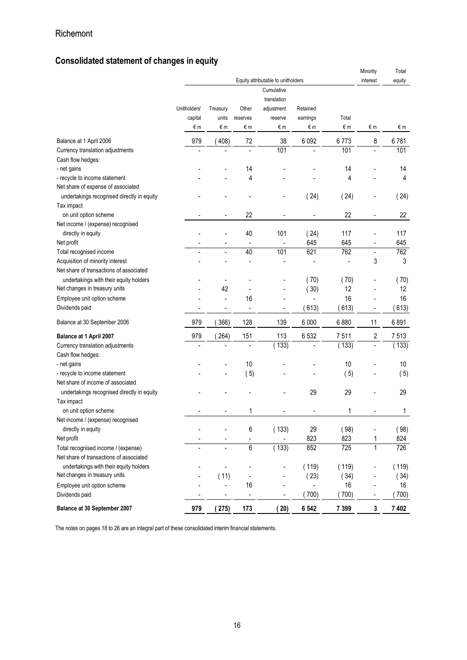## Consolidated statement of changes in equity

|                                                                                  |                               |                          |                          | Equity attributable to unitholders                       |                            |             | Minority<br>interest         | Total<br>equity |
|----------------------------------------------------------------------------------|-------------------------------|--------------------------|--------------------------|----------------------------------------------------------|----------------------------|-------------|------------------------------|-----------------|
|                                                                                  | Unitholders'<br>capital<br>€m | Treasury<br>units<br>€m  | Other<br>reserves<br>€m  | Cumulative<br>translation<br>adjustment<br>reserve<br>€m | Retained<br>earnings<br>€m | Total<br>€m | €m                           | €m              |
| Balance at 1 April 2006                                                          | 979                           | (408)                    | 72                       | 38                                                       | 6 0 9 2                    | 6773        | 8                            | 6781            |
| Currency translation adjustments                                                 |                               |                          |                          | 101                                                      |                            | 101         | $\overline{a}$               | 101             |
| Cash flow hedges:                                                                |                               |                          |                          |                                                          |                            |             |                              |                 |
| - net gains                                                                      |                               |                          | 14                       |                                                          |                            | 14          |                              | 14              |
| - recycle to income statement                                                    |                               |                          | 4                        |                                                          |                            | 4           |                              | 4               |
| Net share of expense of associated<br>undertakings recognised directly in equity |                               |                          |                          |                                                          | (24)                       | (24)        | $\overline{a}$               | (24)            |
| Tax impact                                                                       |                               |                          |                          |                                                          |                            |             |                              |                 |
| on unit option scheme<br>Net income / (expense) recognised                       |                               |                          | 22                       |                                                          |                            | 22          | $\overline{a}$               | 22              |
| directly in equity                                                               |                               |                          | 40                       | 101                                                      | (24)                       | 117         |                              | 117             |
| Net profit                                                                       |                               | $\overline{a}$           | $\overline{a}$           |                                                          | 645                        | 645         | $\overline{a}$               | 645             |
| Total recognised income                                                          |                               |                          | 40                       | 101                                                      | 621                        | 762         | $\overline{a}$               | 762             |
| Acquisition of minority interest                                                 |                               |                          |                          |                                                          |                            |             | 3                            | 3               |
| Net share of transactions of associated                                          |                               |                          |                          |                                                          |                            |             |                              |                 |
| undertakings with their equity holders                                           |                               |                          |                          |                                                          | (70)                       | (70)        | ÷,                           | (70)            |
| Net changes in treasury units                                                    |                               | 42                       | $\overline{a}$           |                                                          | (30)                       | 12          | $\overline{a}$               | 12              |
| Employee unit option scheme                                                      |                               |                          | 16                       | $\overline{\phantom{0}}$                                 | $\overline{a}$             | 16          |                              | 16              |
| Dividends paid                                                                   | ٠                             | $\overline{\phantom{a}}$ | $\overline{a}$           | $\overline{\phantom{a}}$                                 | 613)                       | 613)        | $\qquad \qquad \blacksquare$ | 613)            |
| Balance at 30 September 2006                                                     | 979                           | 366)                     | 128                      | 139                                                      | 6 0 0 0                    | 6880        | 11                           | 6891            |
| Balance at 1 April 2007                                                          | 979                           | (264)                    | 151                      | 113                                                      | 6 5 3 2                    | 7511        | $\sqrt{2}$                   | 7513            |
| Currency translation adjustments                                                 |                               |                          |                          | (133)                                                    |                            | (133)       | $\overline{a}$               | (133)           |
| Cash flow hedges:                                                                |                               |                          |                          |                                                          |                            |             |                              |                 |
| - net gains                                                                      |                               |                          | 10                       |                                                          |                            | 10          |                              | 10              |
| - recycle to income statement                                                    |                               |                          | (5)                      |                                                          |                            | (5)         |                              | (5)             |
| Net share of income of associated                                                |                               |                          |                          |                                                          |                            |             |                              |                 |
| undertakings recognised directly in equity                                       |                               |                          |                          |                                                          | 29                         | 29          |                              | 29              |
| Tax impact                                                                       |                               |                          |                          |                                                          |                            |             |                              |                 |
| on unit option scheme                                                            |                               |                          | 1                        |                                                          |                            | 1           |                              | 1               |
| Net income / (expense) recognised                                                |                               |                          |                          |                                                          |                            |             |                              |                 |
| directly in equity                                                               |                               |                          | 6                        | (133)                                                    | 29                         | (98)        |                              | (98)            |
| Net profit                                                                       |                               |                          |                          |                                                          | 823                        | 823         | 1                            | 824             |
| Total recognised income / (expense)                                              | $\blacksquare$                |                          | $\overline{6}$           | (133)                                                    | 852                        | 725         | $\mathbf{1}$                 | 726             |
| Net share of transactions of associated                                          |                               |                          |                          |                                                          |                            |             |                              |                 |
| undertakings with their equity holders                                           |                               |                          |                          |                                                          | (119)                      | (119)       | $\overline{a}$               | (119)           |
| Net changes in treasury units                                                    |                               | (11)                     | $\overline{a}$           |                                                          | (23)                       | (34)        |                              | (34)            |
| Employee unit option scheme                                                      |                               | $\overline{a}$           | 16                       |                                                          | $\overline{\phantom{a}}$   | 16          | $\qquad \qquad \blacksquare$ | 16              |
| Dividends paid                                                                   |                               | $\overline{\phantom{a}}$ | $\overline{\phantom{a}}$ | $\overline{a}$                                           | 700)                       | (700)       | $\qquad \qquad \blacksquare$ | (700)           |
| Balance at 30 September 2007                                                     | 979                           | (275)                    | 173                      | (20)                                                     | 6 5 4 2                    | 7 3 9 9     | $\mathbf 3$                  | 7 4 0 2         |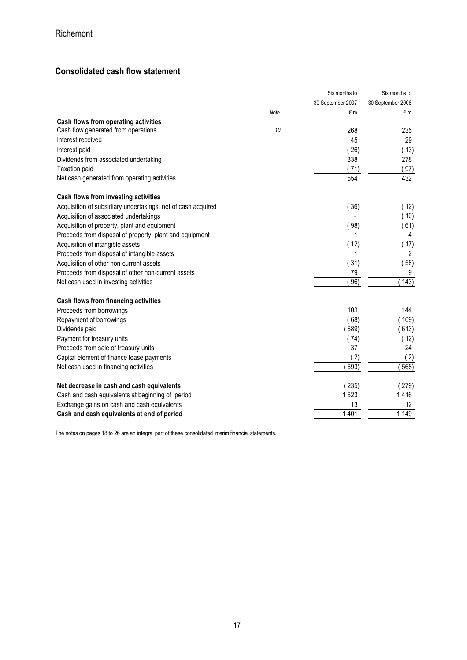## Consolidated cash flow statement

|                                                              |      | Six months to     | Six months to     |
|--------------------------------------------------------------|------|-------------------|-------------------|
|                                                              |      | 30 September 2007 | 30 September 2006 |
|                                                              | Note | €m                | €m                |
| Cash flows from operating activities                         |      |                   |                   |
| Cash flow generated from operations                          | 10   | 268               | 235               |
| Interest received                                            |      | 45                | 29                |
| Interest paid                                                |      | (26)              | (13)              |
| Dividends from associated undertaking                        |      | 338               | 278               |
| <b>Taxation paid</b>                                         |      | (71)              | (97)              |
| Net cash generated from operating activities                 |      | 554               | 432               |
| Cash flows from investing activities                         |      |                   |                   |
| Acquisition of subsidiary undertakings, net of cash acquired |      | (36)              | (12)              |
| Acquisition of associated undertakings                       |      |                   | (10)              |
| Acquisition of property, plant and equipment                 |      | (98)              | (61)              |
| Proceeds from disposal of property, plant and equipment      |      | 1                 | 4                 |
| Acquisition of intangible assets                             |      | (12)              | (17)              |
| Proceeds from disposal of intangible assets                  |      | 1                 | 2                 |
| Acquisition of other non-current assets                      |      | (31)              | (58)              |
| Proceeds from disposal of other non-current assets           |      | 79                | 9                 |
| Net cash used in investing activities                        |      | 96)               | 143)              |
| Cash flows from financing activities                         |      |                   |                   |
| Proceeds from borrowings                                     |      | 103               | 144               |
| Repayment of borrowings                                      |      | (68)              | (109)             |
| Dividends paid                                               |      | (689)             | (613)             |
| Payment for treasury units                                   |      | (74)              | (12)              |
| Proceeds from sale of treasury units                         |      | 37                | 24                |
| Capital element of finance lease payments                    |      | 2)                | (2)               |
| Net cash used in financing activities                        |      | 693)              | 568)              |
| Net decrease in cash and cash equivalents                    |      | (235)             | (279)             |
| Cash and cash equivalents at beginning of period             |      | 1623              | 1416              |
| Exchange gains on cash and cash equivalents                  |      | 13                | 12                |
| Cash and cash equivalents at end of period                   |      | 1401              | 1 1 4 9           |
|                                                              |      |                   |                   |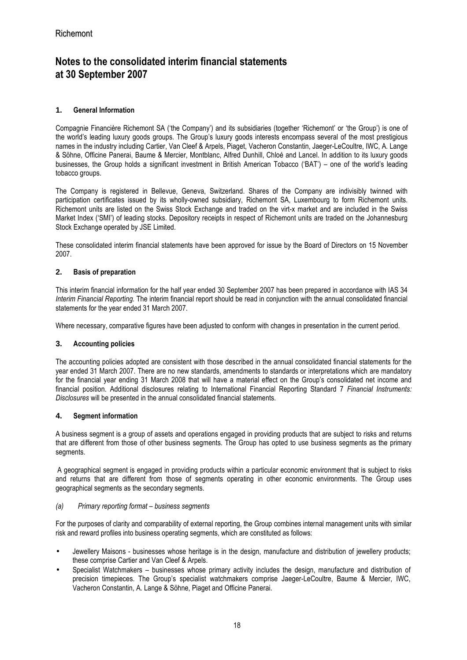## Notes to the consolidated interim financial statements at 30 September 2007

## **1.** General Information

Compagnie Financière Richemont SA ('the Company') and its subsidiaries (together 'Richemont' or 'the Group') is one of the world's leading luxury goods groups. The Group's luxury goods interests encompass several of the most prestigious names in the industry including Cartier, Van Cleef & Arpels, Piaget, Vacheron Constantin, Jaeger-LeCoultre, IWC, A. Lange & Söhne, Officine Panerai, Baume & Mercier, Montblanc, Alfred Dunhill, Chloé and Lancel. In addition to its luxury goods businesses, the Group holds a significant investment in British American Tobacco ('BAT') – one of the world's leading tobacco groups.

The Company is registered in Bellevue, Geneva, Switzerland. Shares of the Company are indivisibly twinned with participation certificates issued by its wholly-owned subsidiary, Richemont SA, Luxembourg to form Richemont units. Richemont units are listed on the Swiss Stock Exchange and traded on the virt-x market and are included in the Swiss Market Index ('SMI') of leading stocks. Depository receipts in respect of Richemont units are traded on the Johannesburg Stock Exchange operated by JSE Limited.

These consolidated interim financial statements have been approved for issue by the Board of Directors on 15 November 2007.

## **2.** Basis of preparation

This interim financial information for the half year ended 30 September 2007 has been prepared in accordance with IAS 34 Interim Financial Reporting. The interim financial report should be read in conjunction with the annual consolidated financial statements for the year ended 31 March 2007.

Where necessary, comparative figures have been adjusted to conform with changes in presentation in the current period.

## **3.** Accounting policies

The accounting policies adopted are consistent with those described in the annual consolidated financial statements for the year ended 31 March 2007. There are no new standards, amendments to standards or interpretations which are mandatory for the financial year ending 31 March 2008 that will have a material effect on the Group's consolidated net income and financial position. Additional disclosures relating to International Financial Reporting Standard 7 Financial Instruments: Disclosures will be presented in the annual consolidated financial statements.

## **4.** Segment information

A business segment is a group of assets and operations engaged in providing products that are subject to risks and returns that are different from those of other business segments. The Group has opted to use business segments as the primary segments.

 A geographical segment is engaged in providing products within a particular economic environment that is subject to risks and returns that are different from those of segments operating in other economic environments. The Group uses geographical segments as the secondary segments.

### (a) Primary reporting format – business segments

For the purposes of clarity and comparability of external reporting, the Group combines internal management units with similar risk and reward profiles into business operating segments, which are constituted as follows:

- Jewellery Maisons businesses whose heritage is in the design, manufacture and distribution of jewellery products; these comprise Cartier and Van Cleef & Arpels.
- Specialist Watchmakers businesses whose primary activity includes the design, manufacture and distribution of precision timepieces. The Group's specialist watchmakers comprise Jaeger-LeCoultre, Baume & Mercier, IWC, Vacheron Constantin, A. Lange & Söhne, Piaget and Officine Panerai.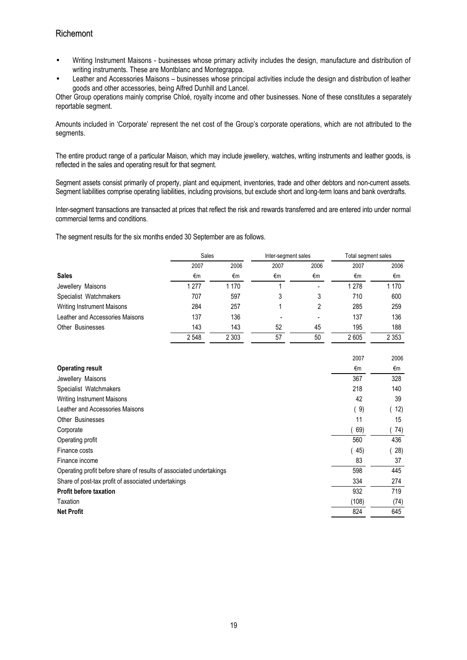- Writing Instrument Maisons businesses whose primary activity includes the design, manufacture and distribution of writing instruments. These are Montblanc and Montegrappa.
- Leather and Accessories Maisons businesses whose principal activities include the design and distribution of leather goods and other accessories, being Alfred Dunhill and Lancel.

Other Group operations mainly comprise Chloé, royalty income and other businesses. None of these constitutes a separately reportable segment.

Amounts included in 'Corporate' represent the net cost of the Group's corporate operations, which are not attributed to the segments.

The entire product range of a particular Maison, which may include jewellery, watches, writing instruments and leather goods, is reflected in the sales and operating result for that segment.

Segment assets consist primarily of property, plant and equipment, inventories, trade and other debtors and non-current assets. Segment liabilities comprise operating liabilities, including provisions, but exclude short and long-term loans and bank overdrafts.

Inter-segment transactions are transacted at prices that reflect the risk and rewards transferred and are entered into under normal commercial terms and conditions.

The segment results for the six months ended 30 September are as follows.

|                                 | Sales |         | Inter-segment sales |      | Total segment sales |         |
|---------------------------------|-------|---------|---------------------|------|---------------------|---------|
|                                 | 2007  | 2006    | 2007                | 2006 | 2007                | 2006    |
| <b>Sales</b>                    | €m    | €m      | €m                  | €m   | €m                  | €m      |
| Jewellery Maisons               | 1 277 | 1 1 7 0 |                     |      | 1 2 7 8             | 1 1 7 0 |
| Specialist Watchmakers          | 707   | 597     | 3                   | 3    | 710                 | 600     |
| Writing Instrument Maisons      | 284   | 257     |                     | 2    | 285                 | 259     |
| Leather and Accessories Maisons | 137   | 136     |                     |      | 137                 | 136     |
| Other Businesses                | 143   | 143     | 52                  | 45   | 195                 | 188     |
|                                 | 2548  | 2 3 0 3 | 57                  | 50   | 2605                | 2 3 5 3 |

|                                                                     | 2007  | 2006 |
|---------------------------------------------------------------------|-------|------|
| <b>Operating result</b>                                             | €m    | €m   |
| Jewellery Maisons                                                   | 367   | 328  |
| Specialist Watchmakers                                              | 218   | 140  |
| <b>Writing Instrument Maisons</b>                                   | 42    | 39   |
| Leather and Accessories Maisons                                     | (9)   | 12)  |
| <b>Other Businesses</b>                                             | 11    | 15   |
| Corporate                                                           | 69)   | 74)  |
| Operating profit                                                    | 560   | 436  |
| Finance costs                                                       | 45)   | 28)  |
| Finance income                                                      | 83    | 37   |
| Operating profit before share of results of associated undertakings | 598   | 445  |
| Share of post-tax profit of associated undertakings                 | 334   | 274  |
| <b>Profit before taxation</b>                                       | 932   | 719  |
| Taxation                                                            | (108) | (74) |
| <b>Net Profit</b>                                                   | 824   | 645  |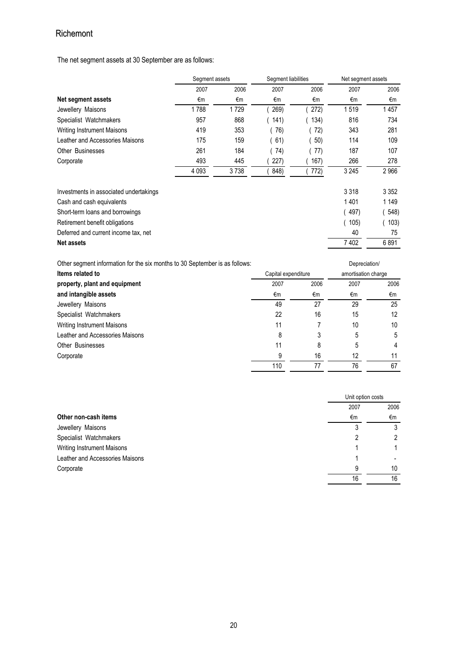The net segment assets at 30 September are as follows:

|                                        | Segment assets |      | Segment liabilities |      | Net segment assets |         |
|----------------------------------------|----------------|------|---------------------|------|--------------------|---------|
|                                        | 2007           | 2006 | 2007                | 2006 | 2007               | 2006    |
| Net segment assets                     | €m             | €m   | €m                  | €m   | €m                 | €m      |
| Jewellery Maisons                      | 1788           | 1729 | 269)                | 272) | 1519               | 1457    |
| Specialist Watchmakers                 | 957            | 868  | (141)               | 134) | 816                | 734     |
| <b>Writing Instrument Maisons</b>      | 419            | 353  | 76)                 | 72)  | 343                | 281     |
| Leather and Accessories Maisons        | 175            | 159  | 61)                 | 50)  | 114                | 109     |
| Other Businesses                       | 261            | 184  | 74)                 | 77)  | 187                | 107     |
| Corporate                              | 493            | 445  | 227)                | 167) | 266                | 278     |
|                                        | 4 0 9 3        | 3738 | 848)                | 772) | 3 2 4 5            | 2966    |
| Investments in associated undertakings |                |      |                     |      | 3 3 1 8            | 3 3 5 2 |
| Cash and cash equivalents              |                |      |                     |      | 1401               | 1 1 4 9 |
| Short-term loans and borrowings        |                |      |                     |      | 497)               | 548)    |
| Retirement benefit obligations         |                |      |                     |      | 105)               | 103)    |
| Deferred and current income tax, net   |                |      |                     |      | 40                 | 75      |
| <b>Net assets</b>                      |                |      |                     |      | 7402               | 6891    |
|                                        |                |      |                     |      |                    |         |

| Other segment information for the six months to 30 September is as follows: |      | Depreciation/       |      |
|-----------------------------------------------------------------------------|------|---------------------|------|
| Capital expenditure                                                         |      | amortisation charge |      |
| 2007                                                                        | 2006 | 2007                | 2006 |
| €m                                                                          | €m   | €m                  | €m   |
| 49                                                                          | 27   | 29                  | 25   |
| 22                                                                          | 16   | 15                  | 12   |
| 11                                                                          |      | 10                  | 10   |
| 8                                                                           |      | 5                   | 5    |
| 11                                                                          | 8    | 5                   | 4    |
| 9                                                                           | 16   | 12                  | 11   |
| 110                                                                         | 77   | 76                  | 67   |
|                                                                             |      |                     |      |

|                                 | Unit option costs |      |
|---------------------------------|-------------------|------|
|                                 | 2007              | 2006 |
| Other non-cash items            | €m                | €m   |
| Jewellery Maisons               | 3                 | 3    |
| Specialist Watchmakers          |                   | 2    |
| Writing Instrument Maisons      |                   |      |
| Leather and Accessories Maisons |                   |      |
| Corporate                       | 9                 | 10   |
|                                 | 16                | 16   |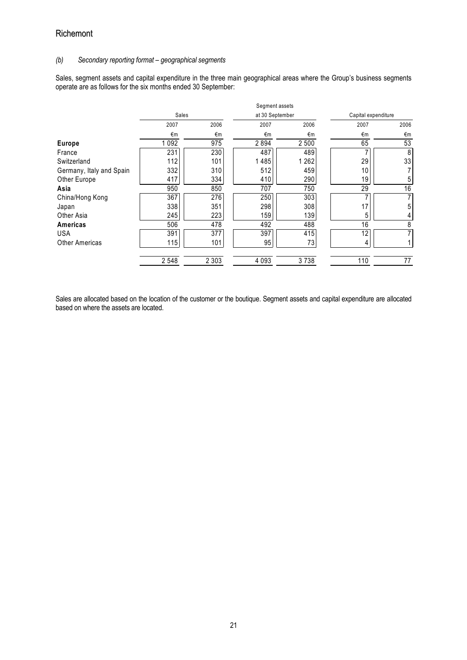### (b) Secondary reporting format – geographical segments

Sales, segment assets and capital expenditure in the three main geographical areas where the Group's business segments operate are as follows for the six months ended 30 September:

|                          |         |         | Segment assets |                 |      |                     |  |
|--------------------------|---------|---------|----------------|-----------------|------|---------------------|--|
|                          | Sales   |         |                | at 30 September |      | Capital expenditure |  |
|                          | 2007    | 2006    | 2007           | 2006            | 2007 | 2006                |  |
|                          | €m      | €m      | €m             | €m              | €m   | €m                  |  |
| <b>Europe</b>            | 1 0 9 2 | 975     | 2894           | 2 500           | 65   | 53                  |  |
| France                   | 231     | 230     | 487            | 489             |      | 8                   |  |
| Switzerland              | 112     | 101     | 1485           | 1 2 6 2         | 29   | 33                  |  |
| Germany, Italy and Spain | 332     | 310     | 512            | 459             | 10   |                     |  |
| Other Europe             | 417     | 334     | 410            | 290             | 19   | 5                   |  |
| Asia                     | 950     | 850     | 707            | 750             | 29   | 16                  |  |
| China/Hong Kong          | 367     | 276     | 250            | 303             |      | 7                   |  |
| Japan                    | 338     | 351     | 298            | 308             | 17   | 5                   |  |
| Other Asia               | 245     | 223     | 159            | 139             | 5    | 4                   |  |
| Americas                 | 506     | 478     | 492            | 488             | 16   | 8                   |  |
| <b>USA</b>               | 391     | 377     | 397            | 415             | 12   | 7                   |  |
| <b>Other Americas</b>    | 115     | 101     | 95             | 73              | 4    |                     |  |
|                          | 2 5 4 8 | 2 3 0 3 | 4 0 9 3        | 3738            | 110  | 77                  |  |

Sales are allocated based on the location of the customer or the boutique. Segment assets and capital expenditure are allocated based on where the assets are located.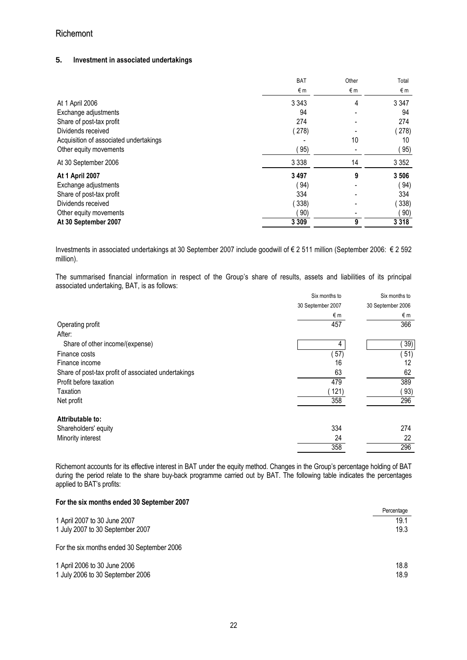### **5.** Investment in associated undertakings

|                                        | <b>BAT</b> | Other | Total   |
|----------------------------------------|------------|-------|---------|
|                                        | €m         | €m    | €m      |
| At 1 April 2006                        | 3 3 4 3    | 4     | 3 3 4 7 |
| Exchange adjustments                   | 94         |       | 94      |
| Share of post-tax profit               | 274        |       | 274     |
| Dividends received                     | (278)      |       | (278)   |
| Acquisition of associated undertakings |            | 10    | 10      |
| Other equity movements                 | 95)        |       | 95)     |
| At 30 September 2006                   | 3 3 3 8    | 14    | 3 3 5 2 |
| <b>At 1 April 2007</b>                 | 3 4 9 7    | 9     | 3 5 0 6 |
| Exchange adjustments                   | 94)        |       | 94)     |
| Share of post-tax profit               | 334        |       | 334     |
| Dividends received                     | (338)      |       | 338)    |
| Other equity movements                 | 90)        |       | 90)     |
| At 30 September 2007                   | 3 3 0 9    | 9     | 3 3 1 8 |

Investments in associated undertakings at 30 September 2007 include goodwill of € 2 511 million (September 2006: € 2 592 million).

The summarised financial information in respect of the Group's share of results, assets and liabilities of its principal associated undertaking, BAT, is as follows:

|                                                     | Six months to     | Six months to     |
|-----------------------------------------------------|-------------------|-------------------|
|                                                     | 30 September 2007 | 30 September 2006 |
|                                                     | €m                | €m                |
| Operating profit                                    | 457               | 366               |
| After:                                              |                   |                   |
| Share of other income/(expense)                     | 4                 | 39)               |
| Finance costs                                       | 57)               | 51)               |
| Finance income                                      | 16                | 12                |
| Share of post-tax profit of associated undertakings | 63                | 62                |
| Profit before taxation                              | 479               | 389               |
| Taxation                                            | 121)              | 93)               |
| Net profit                                          | 358               | 296               |
| Attributable to:                                    |                   |                   |
| Shareholders' equity                                | 334               | 274               |
| Minority interest                                   | 24                | 22                |
|                                                     | 358               | 296               |

Richemont accounts for its effective interest in BAT under the equity method. Changes in the Group's percentage holding of BAT during the period relate to the share buy-back programme carried out by BAT. The following table indicates the percentages applied to BAT's profits:

### For the six months ended 30 September 2007

|                                            | Percentage |
|--------------------------------------------|------------|
| 1 April 2007 to 30 June 2007               | 19.1       |
| 1 July 2007 to 30 September 2007           | 19.3       |
| For the six months ended 30 September 2006 |            |
| 1 April 2006 to 30 June 2006               | 18.8       |
| 1 July 2006 to 30 September 2006           | 18.9       |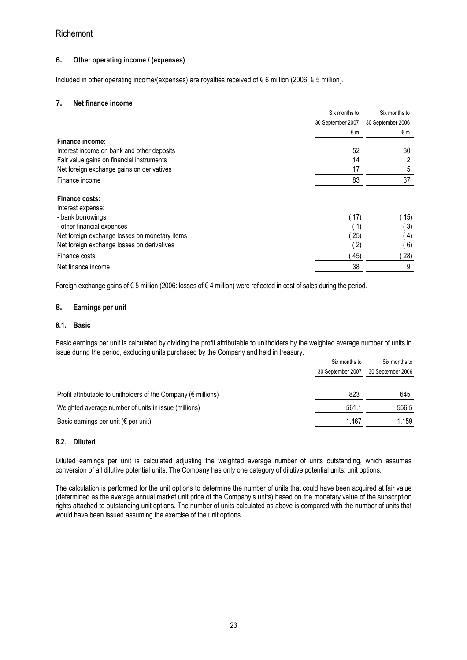## **6.** Other operating income / (expenses)

Included in other operating income/(expenses) are royalties received of € 6 million (2006: € 5 million).

### **7.** Net finance income

|                                               | Six months to     | Six months to                |
|-----------------------------------------------|-------------------|------------------------------|
|                                               | 30 September 2007 | 30 September 2006            |
|                                               | €m                | €m                           |
| <b>Finance income:</b>                        |                   |                              |
| Interest income on bank and other deposits    | 52                | 30                           |
| Fair value gains on financial instruments     | 14                |                              |
| Net foreign exchange gains on derivatives     | 17                | 5                            |
| Finance income                                | 83                | 37                           |
| Finance costs:                                |                   |                              |
| Interest expense:                             |                   |                              |
| - bank borrowings                             | ( 17)             | 15)                          |
| - other financial expenses                    | (1)               | 3)                           |
| Net foreign exchange losses on monetary items | 25)               | $\left( \frac{4}{2} \right)$ |
| Net foreign exchange losses on derivatives    | (2)               | 6)                           |
| Finance costs                                 | 45)               | 28)                          |
| Net finance income                            | 38                | 9                            |

Foreign exchange gains of € 5 million (2006: losses of € 4 million) were reflected in cost of sales during the period.

### **8.** Earnings per unit

### 8.1. Basic

Basic earnings per unit is calculated by dividing the profit attributable to unitholders by the weighted average number of units in issue during the period, excluding units purchased by the Company and held in treasury.

|                                                                          | Six months to     | Six months to     |  |
|--------------------------------------------------------------------------|-------------------|-------------------|--|
|                                                                          | 30 September 2007 | 30 September 2006 |  |
|                                                                          |                   |                   |  |
| Profit attributable to unitholders of the Company ( $\epsilon$ millions) | 823               | 645               |  |
| Weighted average number of units in issue (millions)                     | 561.1             | 556.5             |  |
| Basic earnings per unit ( $\epsilon$ per unit)                           | 1.467             | 1.159             |  |

### 8.2. Diluted

Diluted earnings per unit is calculated adjusting the weighted average number of units outstanding, which assumes conversion of all dilutive potential units. The Company has only one category of dilutive potential units: unit options.

The calculation is performed for the unit options to determine the number of units that could have been acquired at fair value (determined as the average annual market unit price of the Company's units) based on the monetary value of the subscription rights attached to outstanding unit options. The number of units calculated as above is compared with the number of units that would have been issued assuming the exercise of the unit options.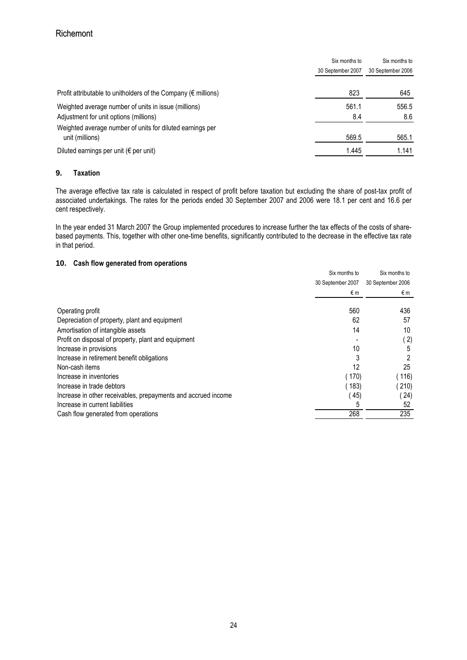|                                                                              | Six months to<br>Six months to |                   |
|------------------------------------------------------------------------------|--------------------------------|-------------------|
|                                                                              | 30 September 2007              | 30 September 2006 |
| Profit attributable to unitholders of the Company ( $\epsilon$ millions)     | 823                            | 645               |
| Weighted average number of units in issue (millions)                         | 561.1                          | 556.5             |
| Adjustment for unit options (millions)                                       | 8.4                            | 8.6               |
| Weighted average number of units for diluted earnings per<br>unit (millions) | 569.5                          | 565.1             |
| Diluted earnings per unit ( $\epsilon$ per unit)                             | 1.445                          | 1.141             |

## **9.** Taxation

The average effective tax rate is calculated in respect of profit before taxation but excluding the share of post-tax profit of associated undertakings. The rates for the periods ended 30 September 2007 and 2006 were 18.1 per cent and 16.6 per cent respectively.

In the year ended 31 March 2007 the Group implemented procedures to increase further the tax effects of the costs of sharebased payments. This, together with other one-time benefits, significantly contributed to the decrease in the effective tax rate in that period.

## **10.** Cash flow generated from operations

|                                                               | Six months to     | Six months to     |
|---------------------------------------------------------------|-------------------|-------------------|
|                                                               | 30 September 2007 | 30 September 2006 |
|                                                               | €m                | €m                |
| Operating profit                                              | 560               | 436               |
| Depreciation of property, plant and equipment                 | 62                | 57                |
| Amortisation of intangible assets                             | 14                | 10                |
| Profit on disposal of property, plant and equipment           |                   | '2)               |
| Increase in provisions                                        | 10                | 5                 |
| Increase in retirement benefit obligations                    |                   |                   |
| Non-cash items                                                | 12                | 25                |
| Increase in inventories                                       | 170)              | (116)             |
| Increase in trade debtors                                     | 183)              | 210)              |
| Increase in other receivables, prepayments and accrued income | 45)               | (24)              |
| Increase in current liabilities                               |                   | 52                |
| Cash flow generated from operations                           | 268               | 235               |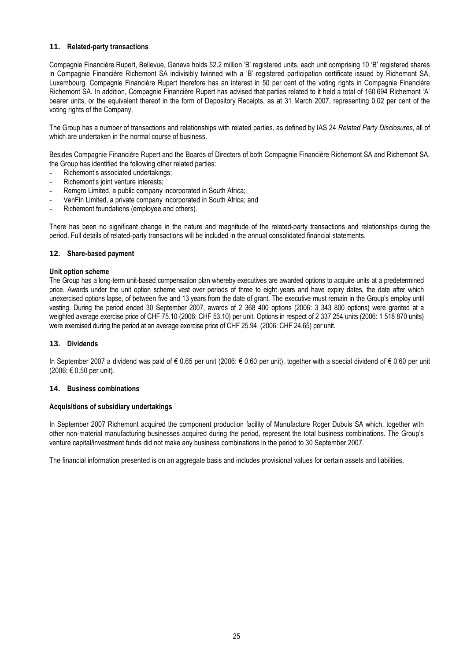### **11.** Related-party transactions

Compagnie Financière Rupert, Bellevue, Geneva holds 52.2 million 'B' registered units, each unit comprising 10 'B' registered shares in Compagnie Financière Richemont SA indivisibly twinned with a 'B' registered participation certificate issued by Richemont SA, Luxembourg. Compagnie Financière Rupert therefore has an interest in 50 per cent of the voting rights in Compagnie Financière Richemont SA. In addition, Compagnie Financière Rupert has advised that parties related to it held a total of 160'694 Richemont 'A' bearer units, or the equivalent thereof in the form of Depository Receipts, as at 31 March 2007, representing 0.02 per cent of the voting rights of the Company.

The Group has a number of transactions and relationships with related parties, as defined by IAS 24 Related Party Disclosures, all of which are undertaken in the normal course of business.

Besides Compagnie Financière Rupert and the Boards of Directors of both Compagnie Financière Richemont SA and Richemont SA, the Group has identified the following other related parties:

- Richemont's associated undertakings;
- Richemont's joint venture interests;
- Remgro Limited, a public company incorporated in South Africa;
- VenFin Limited, a private company incorporated in South Africa; and
- Richemont foundations (employee and others).

There has been no significant change in the nature and magnitude of the related-party transactions and relationships during the period. Full details of related-party transactions will be included in the annual consolidated financial statements.

#### **12.** Share-based payment

#### Unit option scheme

The Group has a long-term unit-based compensation plan whereby executives are awarded options to acquire units at a predetermined price. Awards under the unit option scheme vest over periods of three to eight years and have expiry dates, the date after which unexercised options lapse, of between five and 13 years from the date of grant. The executive must remain in the Group's employ until vesting. During the period ended 30 September 2007, awards of 2 368 400 options (2006: 3 343 800 options) were granted at a weighted average exercise price of CHF 75.10 (2006: CHF 53.10) per unit. Options in respect of 2 337 254 units (2006: 1 518 870 units) were exercised during the period at an average exercise price of CHF 25.94 (2006: CHF 24.65) per unit.

### **13.** Dividends

In September 2007 a dividend was paid of € 0.65 per unit (2006: € 0.60 per unit), together with a special dividend of € 0.60 per unit (2006: € 0.50 per unit).

#### **14.** Business combinations

#### Acquisitions of subsidiary undertakings

In September 2007 Richemont acquired the component production facility of Manufacture Roger Dubuis SA which, together with other non-material manufacturing businesses acquired during the period, represent the total business combinations. The Group's venture capital/investment funds did not make any business combinations in the period to 30 September 2007.

The financial information presented is on an aggregate basis and includes provisional values for certain assets and liabilities.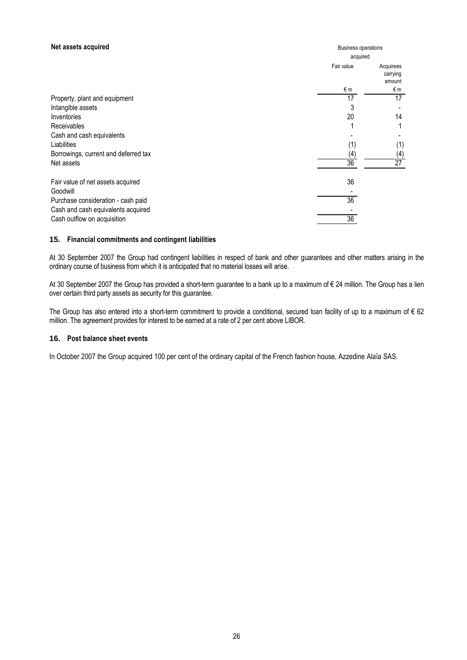### Net assets acquired

| Net assets acquired                  | <b>Business operations</b> |                                 |
|--------------------------------------|----------------------------|---------------------------------|
|                                      | acquired                   |                                 |
|                                      | Fair value                 | Acquirees<br>carrying<br>amount |
|                                      | €m                         | €m                              |
| Property, plant and equipment        | 17                         | 17                              |
| Intangible assets                    | 3                          |                                 |
| Inventories                          | 20                         | 14                              |
| Receivables                          |                            | 1                               |
| Cash and cash equivalents            |                            |                                 |
| Liabilities                          | (1)                        | (1)                             |
| Borrowings, current and deferred tax | (4)                        | (4)                             |
| Net assets                           | $\overline{36}$            | $\overline{27}$                 |
| Fair value of net assets acquired    | 36                         |                                 |
| Goodwill                             |                            |                                 |
| Purchase consideration - cash paid   | $\overline{36}$            |                                 |
| Cash and cash equivalents acquired   |                            |                                 |
| Cash outflow on acquisition          | 36                         |                                 |

### **15.** Financial commitments and contingent liabilities

At 30 September 2007 the Group had contingent liabilities in respect of bank and other guarantees and other matters arising in the ordinary course of business from which it is anticipated that no material losses will arise.

At 30 September 2007 the Group has provided a short-term guarantee to a bank up to a maximum of € 24 million. The Group has a lien over certain third party assets as security for this guarantee.

The Group has also entered into a short-term commitment to provide a conditional, secured loan facility of up to a maximum of  $\epsilon$  62 million. The agreement provides for interest to be earned at a rate of 2 per cent above LIBOR.

### **16.** Post balance sheet events

In October 2007 the Group acquired 100 per cent of the ordinary capital of the French fashion house, Azzedine Alaïa SAS.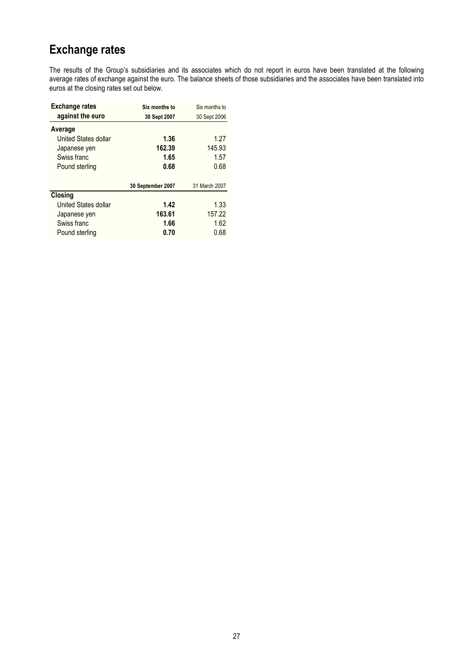# Exchange rates

The results of the Group's subsidiaries and its associates which do not report in euros have been translated at the following average rates of exchange against the euro. The balance sheets of those subsidiaries and the associates have been translated into euros at the closing rates set out below.

| <b>Exchange rates</b>       | Six months to     | Six months to |
|-----------------------------|-------------------|---------------|
| against the euro            | 30 Sept 2007      | 30 Sept 2006  |
| Average                     |                   |               |
| United States dollar        | 1.36              | 1.27          |
| Japanese yen                | 162.39            | 145.93        |
| Swiss franc                 | 1.65              | 1.57          |
| Pound sterling              | 0.68              | 0.68          |
|                             | 30 September 2007 | 31 March 2007 |
| <b>Closing</b>              |                   |               |
| <b>United States dollar</b> | 1.42              | 1.33          |
| Japanese yen                | 163.61            | 157.22        |
| Swiss franc                 | 1.66              | 1.62          |
| Pound sterling              | 0.70              | 0.68          |